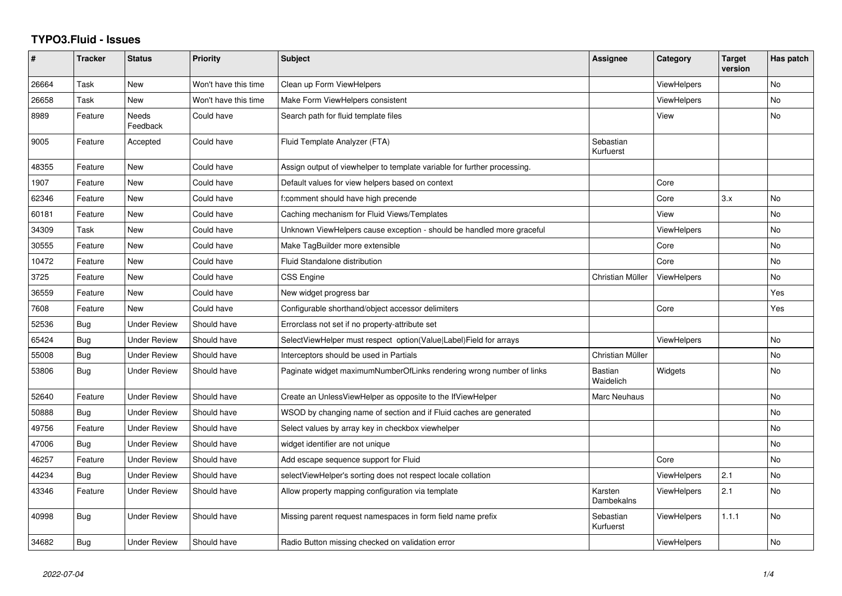## **TYPO3.Fluid - Issues**

| #     | <b>Tracker</b> | <b>Status</b>            | <b>Priority</b>      | <b>Subject</b>                                                           | Assignee                    | Category           | <b>Target</b><br>version | Has patch |
|-------|----------------|--------------------------|----------------------|--------------------------------------------------------------------------|-----------------------------|--------------------|--------------------------|-----------|
| 26664 | Task           | <b>New</b>               | Won't have this time | Clean up Form ViewHelpers                                                |                             | <b>ViewHelpers</b> |                          | <b>No</b> |
| 26658 | Task           | New                      | Won't have this time | Make Form ViewHelpers consistent                                         |                             | <b>ViewHelpers</b> |                          | No        |
| 8989  | Feature        | <b>Needs</b><br>Feedback | Could have           | Search path for fluid template files                                     |                             | View               |                          | <b>No</b> |
| 9005  | Feature        | Accepted                 | Could have           | Fluid Template Analyzer (FTA)                                            | Sebastian<br>Kurfuerst      |                    |                          |           |
| 48355 | Feature        | <b>New</b>               | Could have           | Assign output of viewhelper to template variable for further processing. |                             |                    |                          |           |
| 1907  | Feature        | New                      | Could have           | Default values for view helpers based on context                         |                             | Core               |                          |           |
| 62346 | Feature        | New                      | Could have           | f:comment should have high precende                                      |                             | Core               | 3.x                      | No        |
| 60181 | Feature        | New                      | Could have           | Caching mechanism for Fluid Views/Templates                              |                             | View               |                          | <b>No</b> |
| 34309 | Task           | New                      | Could have           | Unknown ViewHelpers cause exception - should be handled more graceful    |                             | <b>ViewHelpers</b> |                          | No        |
| 30555 | Feature        | <b>New</b>               | Could have           | Make TagBuilder more extensible                                          |                             | Core               |                          | <b>No</b> |
| 10472 | Feature        | New                      | Could have           | Fluid Standalone distribution                                            |                             | Core               |                          | No        |
| 3725  | Feature        | <b>New</b>               | Could have           | <b>CSS Engine</b>                                                        | Christian Müller            | <b>ViewHelpers</b> |                          | <b>No</b> |
| 36559 | Feature        | New                      | Could have           | New widget progress bar                                                  |                             |                    |                          | Yes       |
| 7608  | Feature        | <b>New</b>               | Could have           | Configurable shorthand/object accessor delimiters                        |                             | Core               |                          | Yes       |
| 52536 | <b>Bug</b>     | <b>Under Review</b>      | Should have          | Errorclass not set if no property-attribute set                          |                             |                    |                          |           |
| 65424 | Bug            | Under Review             | Should have          | SelectViewHelper must respect option(Value Label)Field for arrays        |                             | <b>ViewHelpers</b> |                          | No        |
| 55008 | Bug            | <b>Under Review</b>      | Should have          | Interceptors should be used in Partials                                  | Christian Müller            |                    |                          | <b>No</b> |
| 53806 | Bug            | <b>Under Review</b>      | Should have          | Paginate widget maximumNumberOfLinks rendering wrong number of links     | <b>Bastian</b><br>Waidelich | Widgets            |                          | No        |
| 52640 | Feature        | <b>Under Review</b>      | Should have          | Create an UnlessViewHelper as opposite to the IfViewHelper               | <b>Marc Neuhaus</b>         |                    |                          | <b>No</b> |
| 50888 | Bug            | Under Review             | Should have          | WSOD by changing name of section and if Fluid caches are generated       |                             |                    |                          | No.       |
| 49756 | Feature        | <b>Under Review</b>      | Should have          | Select values by array key in checkbox viewhelper                        |                             |                    |                          | <b>No</b> |
| 47006 | Bug            | <b>Under Review</b>      | Should have          | widget identifier are not unique                                         |                             |                    |                          | <b>No</b> |
| 46257 | Feature        | <b>Under Review</b>      | Should have          | Add escape sequence support for Fluid                                    |                             | Core               |                          | <b>No</b> |
| 44234 | <b>Bug</b>     | Under Review             | Should have          | selectViewHelper's sorting does not respect locale collation             |                             | <b>ViewHelpers</b> | 2.1                      | <b>No</b> |
| 43346 | Feature        | <b>Under Review</b>      | Should have          | Allow property mapping configuration via template                        | Karsten<br>Dambekalns       | ViewHelpers        | 2.1                      | <b>No</b> |
| 40998 | Bug            | <b>Under Review</b>      | Should have          | Missing parent request namespaces in form field name prefix              | Sebastian<br>Kurfuerst      | <b>ViewHelpers</b> | 1.1.1                    | <b>No</b> |
| 34682 | Bug            | <b>Under Review</b>      | Should have          | Radio Button missing checked on validation error                         |                             | <b>ViewHelpers</b> |                          | No        |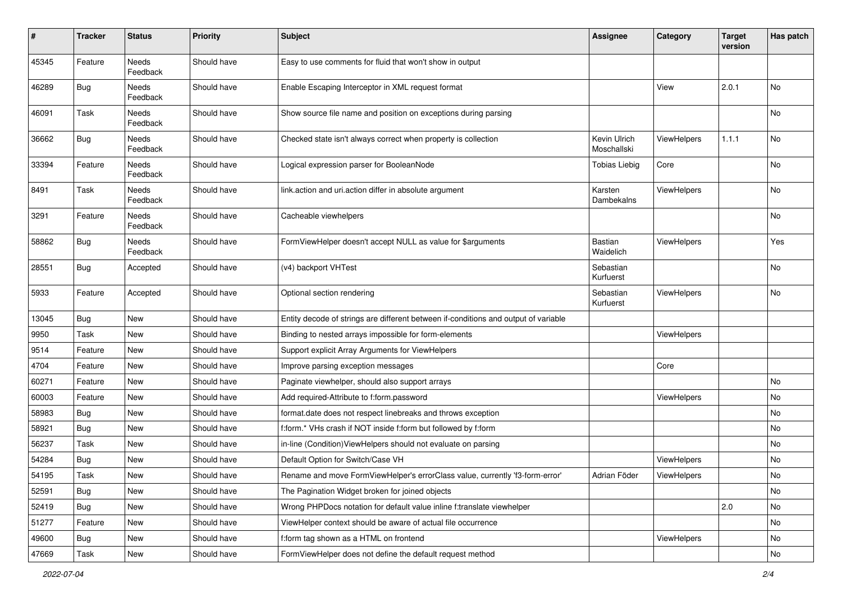| #     | <b>Tracker</b> | <b>Status</b>     | <b>Priority</b> | <b>Subject</b>                                                                      | Assignee                    | Category           | <b>Target</b><br>version | Has patch |
|-------|----------------|-------------------|-----------------|-------------------------------------------------------------------------------------|-----------------------------|--------------------|--------------------------|-----------|
| 45345 | Feature        | Needs<br>Feedback | Should have     | Easy to use comments for fluid that won't show in output                            |                             |                    |                          |           |
| 46289 | Bug            | Needs<br>Feedback | Should have     | Enable Escaping Interceptor in XML request format                                   |                             | View               | 2.0.1                    | No        |
| 46091 | Task           | Needs<br>Feedback | Should have     | Show source file name and position on exceptions during parsing                     |                             |                    |                          | No        |
| 36662 | Bug            | Needs<br>Feedback | Should have     | Checked state isn't always correct when property is collection                      | Kevin Ulrich<br>Moschallski | <b>ViewHelpers</b> | 1.1.1                    | No        |
| 33394 | Feature        | Needs<br>Feedback | Should have     | Logical expression parser for BooleanNode                                           | <b>Tobias Liebig</b>        | Core               |                          | No        |
| 8491  | Task           | Needs<br>Feedback | Should have     | link.action and uri.action differ in absolute argument                              | Karsten<br>Dambekalns       | ViewHelpers        |                          | No        |
| 3291  | Feature        | Needs<br>Feedback | Should have     | Cacheable viewhelpers                                                               |                             |                    |                          | No        |
| 58862 | Bug            | Needs<br>Feedback | Should have     | FormViewHelper doesn't accept NULL as value for \$arguments                         | Bastian<br>Waidelich        | ViewHelpers        |                          | Yes       |
| 28551 | Bug            | Accepted          | Should have     | (v4) backport VHTest                                                                | Sebastian<br>Kurfuerst      |                    |                          | No        |
| 5933  | Feature        | Accepted          | Should have     | Optional section rendering                                                          | Sebastian<br>Kurfuerst      | ViewHelpers        |                          | No        |
| 13045 | Bug            | New               | Should have     | Entity decode of strings are different between if-conditions and output of variable |                             |                    |                          |           |
| 9950  | Task           | New               | Should have     | Binding to nested arrays impossible for form-elements                               |                             | ViewHelpers        |                          |           |
| 9514  | Feature        | New               | Should have     | Support explicit Array Arguments for ViewHelpers                                    |                             |                    |                          |           |
| 4704  | Feature        | New               | Should have     | Improve parsing exception messages                                                  |                             | Core               |                          |           |
| 60271 | Feature        | New               | Should have     | Paginate viewhelper, should also support arrays                                     |                             |                    |                          | No        |
| 60003 | Feature        | New               | Should have     | Add required-Attribute to f:form.password                                           |                             | ViewHelpers        |                          | No        |
| 58983 | <b>Bug</b>     | New               | Should have     | format.date does not respect linebreaks and throws exception                        |                             |                    |                          | No        |
| 58921 | <b>Bug</b>     | New               | Should have     | f:form.* VHs crash if NOT inside f:form but followed by f:form                      |                             |                    |                          | No        |
| 56237 | Task           | New               | Should have     | in-line (Condition) View Helpers should not evaluate on parsing                     |                             |                    |                          | No        |
| 54284 | Bug            | New               | Should have     | Default Option for Switch/Case VH                                                   |                             | ViewHelpers        |                          | No        |
| 54195 | Task           | New               | Should have     | Rename and move FormViewHelper's errorClass value, currently 'f3-form-error'        | Adrian Föder                | ViewHelpers        |                          | No        |
| 52591 | Bug            | New               | Should have     | The Pagination Widget broken for joined objects                                     |                             |                    |                          | No        |
| 52419 | Bug            | New               | Should have     | Wrong PHPDocs notation for default value inline f:translate viewhelper              |                             |                    | 2.0                      | No        |
| 51277 | Feature        | New               | Should have     | ViewHelper context should be aware of actual file occurrence                        |                             |                    |                          | No        |
| 49600 | Bug            | New               | Should have     | f:form tag shown as a HTML on frontend                                              |                             | ViewHelpers        |                          | No        |
| 47669 | Task           | New               | Should have     | FormViewHelper does not define the default request method                           |                             |                    |                          | No        |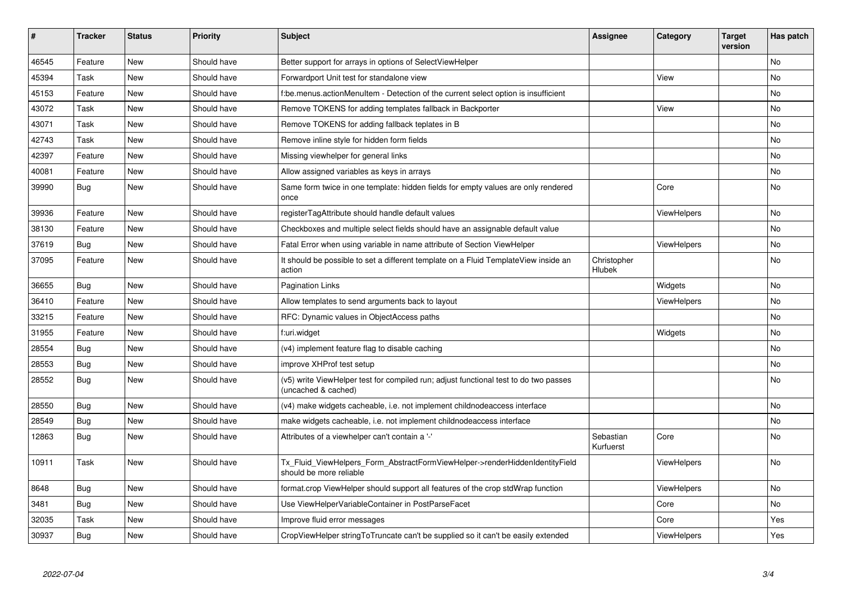| #     | <b>Tracker</b> | <b>Status</b> | <b>Priority</b> | <b>Subject</b>                                                                                              | <b>Assignee</b>        | Category           | Target<br>version | Has patch |
|-------|----------------|---------------|-----------------|-------------------------------------------------------------------------------------------------------------|------------------------|--------------------|-------------------|-----------|
| 46545 | Feature        | <b>New</b>    | Should have     | Better support for arrays in options of SelectViewHelper                                                    |                        |                    |                   | <b>No</b> |
| 45394 | Task           | New           | Should have     | Forwardport Unit test for standalone view                                                                   |                        | View               |                   | <b>No</b> |
| 45153 | Feature        | New           | Should have     | f:be.menus.actionMenuItem - Detection of the current select option is insufficient                          |                        |                    |                   | No        |
| 43072 | Task           | New           | Should have     | Remove TOKENS for adding templates fallback in Backporter                                                   |                        | View               |                   | No        |
| 43071 | Task           | New           | Should have     | Remove TOKENS for adding fallback teplates in B                                                             |                        |                    |                   | No        |
| 42743 | Task           | New           | Should have     | Remove inline style for hidden form fields                                                                  |                        |                    |                   | No        |
| 42397 | Feature        | <b>New</b>    | Should have     | Missing viewhelper for general links                                                                        |                        |                    |                   | <b>No</b> |
| 40081 | Feature        | <b>New</b>    | Should have     | Allow assigned variables as keys in arrays                                                                  |                        |                    |                   | <b>No</b> |
| 39990 | Bug            | <b>New</b>    | Should have     | Same form twice in one template: hidden fields for empty values are only rendered<br>once                   |                        | Core               |                   | <b>No</b> |
| 39936 | Feature        | <b>New</b>    | Should have     | registerTagAttribute should handle default values                                                           |                        | <b>ViewHelpers</b> |                   | <b>No</b> |
| 38130 | Feature        | New           | Should have     | Checkboxes and multiple select fields should have an assignable default value                               |                        |                    |                   | <b>No</b> |
| 37619 | Bug            | <b>New</b>    | Should have     | Fatal Error when using variable in name attribute of Section ViewHelper                                     |                        | ViewHelpers        |                   | <b>No</b> |
| 37095 | Feature        | New           | Should have     | It should be possible to set a different template on a Fluid TemplateView inside an<br>action               | Christopher<br>Hlubek  |                    |                   | No        |
| 36655 | Bug            | New           | Should have     | <b>Pagination Links</b>                                                                                     |                        | Widgets            |                   | No        |
| 36410 | Feature        | <b>New</b>    | Should have     | Allow templates to send arguments back to layout                                                            |                        | ViewHelpers        |                   | <b>No</b> |
| 33215 | Feature        | <b>New</b>    | Should have     | RFC: Dynamic values in ObjectAccess paths                                                                   |                        |                    |                   | <b>No</b> |
| 31955 | Feature        | New           | Should have     | f:uri.widget                                                                                                |                        | Widgets            |                   | No        |
| 28554 | <b>Bug</b>     | New           | Should have     | (v4) implement feature flag to disable caching                                                              |                        |                    |                   | <b>No</b> |
| 28553 | Bug            | New           | Should have     | improve XHProf test setup                                                                                   |                        |                    |                   | No        |
| 28552 | Bug            | New           | Should have     | (v5) write ViewHelper test for compiled run; adjust functional test to do two passes<br>(uncached & cached) |                        |                    |                   | <b>No</b> |
| 28550 | <b>Bug</b>     | New           | Should have     | (v4) make widgets cacheable, i.e. not implement childnodeaccess interface                                   |                        |                    |                   | <b>No</b> |
| 28549 | <b>Bug</b>     | New           | Should have     | make widgets cacheable, i.e. not implement childnodeaccess interface                                        |                        |                    |                   | No        |
| 12863 | Bug            | New           | Should have     | Attributes of a viewhelper can't contain a '-'                                                              | Sebastian<br>Kurfuerst | Core               |                   | <b>No</b> |
| 10911 | Task           | New           | Should have     | Tx Fluid ViewHelpers Form AbstractFormViewHelper->renderHiddenIdentityField<br>should be more reliable      |                        | ViewHelpers        |                   | <b>No</b> |
| 8648  | Bug            | New           | Should have     | format.crop ViewHelper should support all features of the crop stdWrap function                             |                        | <b>ViewHelpers</b> |                   | No        |
| 3481  | Bug            | <b>New</b>    | Should have     | Use ViewHelperVariableContainer in PostParseFacet                                                           |                        | Core               |                   | <b>No</b> |
| 32035 | Task           | New           | Should have     | Improve fluid error messages                                                                                |                        | Core               |                   | Yes       |
| 30937 | Bug            | <b>New</b>    | Should have     | CropViewHelper stringToTruncate can't be supplied so it can't be easily extended                            |                        | ViewHelpers        |                   | Yes       |